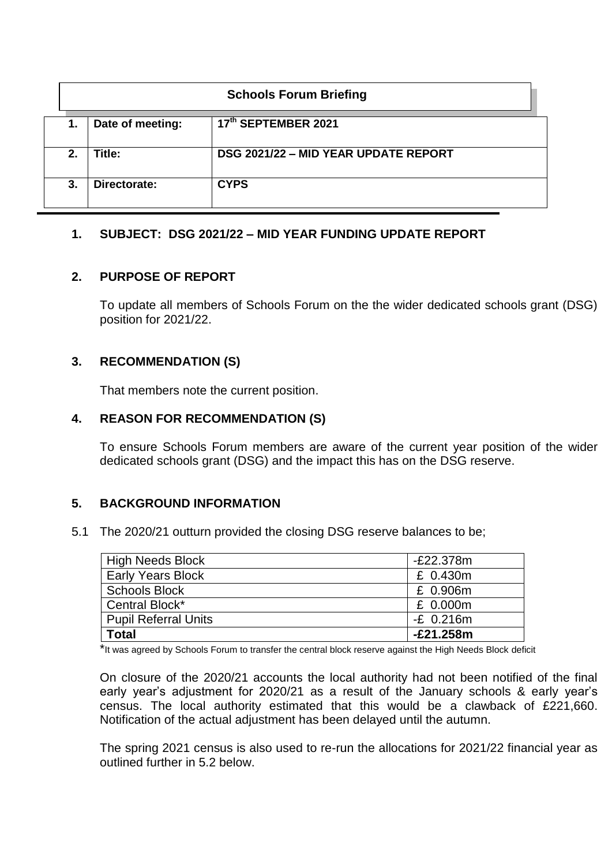|    | <b>Schools Forum Briefing</b> |                                      |  |  |  |  |
|----|-------------------------------|--------------------------------------|--|--|--|--|
| 1. | Date of meeting:              | 17th SEPTEMBER 2021                  |  |  |  |  |
| 2. | Title:                        | DSG 2021/22 - MID YEAR UPDATE REPORT |  |  |  |  |
| 3. | Directorate:                  | <b>CYPS</b>                          |  |  |  |  |

## **1. SUBJECT: DSG 2021/22 – MID YEAR FUNDING UPDATE REPORT**

### **2. PURPOSE OF REPORT**

To update all members of Schools Forum on the the wider dedicated schools grant (DSG) position for 2021/22.

## **3. RECOMMENDATION (S)**

That members note the current position.

### **4. REASON FOR RECOMMENDATION (S)**

To ensure Schools Forum members are aware of the current year position of the wider dedicated schools grant (DSG) and the impact this has on the DSG reserve.

# **5. BACKGROUND INFORMATION**

5.1 The 2020/21 outturn provided the closing DSG reserve balances to be;

| High Needs Block         | $-E22.378m$ |
|--------------------------|-------------|
| <b>Early Years Block</b> | £ 0.430m    |
| <b>Schools Block</b>     | £ 0.906m    |
| Central Block*           | £ 0.000m    |
| Pupil Referral Units     | $-E$ 0.216m |
| <b>Total</b>             | -£21.258m   |

\*It was agreed by Schools Forum to transfer the central block reserve against the High Needs Block deficit

On closure of the 2020/21 accounts the local authority had not been notified of the final early year's adjustment for 2020/21 as a result of the January schools & early year's census. The local authority estimated that this would be a clawback of £221,660. Notification of the actual adjustment has been delayed until the autumn.

The spring 2021 census is also used to re-run the allocations for 2021/22 financial year as outlined further in 5.2 below.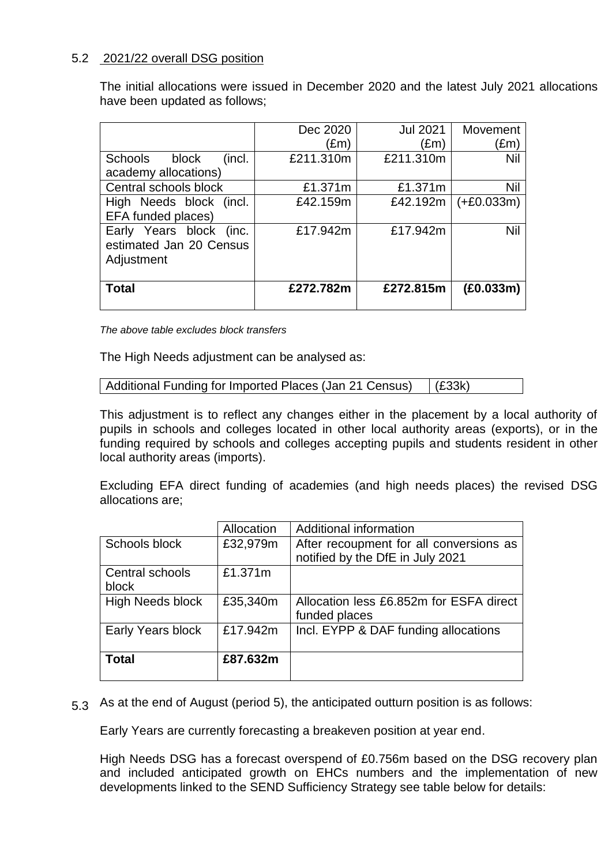## 5.2 2021/22 overall DSG position

The initial allocations were issued in December 2020 and the latest July 2021 allocations have been updated as follows;

|                                                                  | Dec 2020      | <b>Jul 2021</b> | Movement     |
|------------------------------------------------------------------|---------------|-----------------|--------------|
|                                                                  | $(\text{Em})$ | (£m)            | (£m)         |
| Schools<br>block<br>(incl.                                       | £211.310m     | £211.310m       | Nil          |
| academy allocations)                                             |               |                 |              |
| Central schools block                                            | £1.371m       | £1.371m         | Nil          |
| High Needs block (incl.                                          | £42.159m      | £42.192m        | $(+£0.033m)$ |
| EFA funded places)                                               |               |                 |              |
| Early Years block (inc.<br>estimated Jan 20 Census<br>Adjustment | £17.942m      | £17.942m        | Nil          |
|                                                                  |               |                 |              |
| <b>Total</b>                                                     | £272.782m     | £272.815m       | (E0.033m)    |
|                                                                  |               |                 |              |

*The above table excludes block transfers*

The High Needs adjustment can be analysed as:

```
Additional Funding for Imported Places (Jan 21 Census) (£33k)
```
This adjustment is to reflect any changes either in the placement by a local authority of pupils in schools and colleges located in other local authority areas (exports), or in the funding required by schools and colleges accepting pupils and students resident in other local authority areas (imports).

Excluding EFA direct funding of academies (and high needs places) the revised DSG allocations are;

|                          | Allocation | Additional information                                                      |
|--------------------------|------------|-----------------------------------------------------------------------------|
| Schools block            | £32,979m   | After recoupment for all conversions as<br>notified by the DfE in July 2021 |
| Central schools<br>block | £1.371m    |                                                                             |
| <b>High Needs block</b>  | £35,340m   | Allocation less £6.852m for ESFA direct<br>funded places                    |
| Early Years block        | £17.942m   | Incl. EYPP & DAF funding allocations                                        |
| <b>Total</b>             | £87.632m   |                                                                             |

5.3 As at the end of August (period 5), the anticipated outturn position is as follows:

Early Years are currently forecasting a breakeven position at year end.

High Needs DSG has a forecast overspend of £0.756m based on the DSG recovery plan and included anticipated growth on EHCs numbers and the implementation of new developments linked to the SEND Sufficiency Strategy see table below for details: